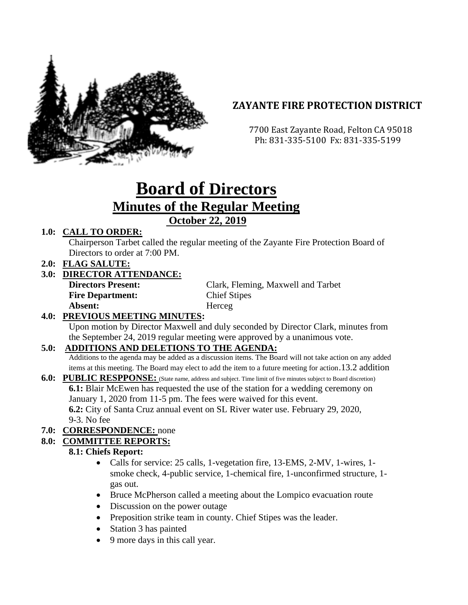

## **ZAYANTE FIRE PROTECTION DISTRICT**

 7700 East Zayante Road, Felton CA 95018 Ph: 831-335-5100 Fx: 831-335-5199

# **Board of Directors Minutes of the Regular Meeting October 22, 2019**

#### **1.0: CALL TO ORDER:**

Chairperson Tarbet called the regular meeting of the Zayante Fire Protection Board of Directors to order at 7:00 PM.

**2.0: FLAG SALUTE:**

#### **3.0: DIRECTOR ATTENDANCE:**

| <b>Directors Present:</b> | Clark, Fleming, Maxwell and Tarbet |
|---------------------------|------------------------------------|
| <b>Fire Department:</b>   | <b>Chief Stipes</b>                |
| Absent:                   | Herceg                             |

#### **4.0: PREVIOUS MEETING MINUTES:**

Upon motion by Director Maxwell and duly seconded by Director Clark, minutes from the September 24, 2019 regular meeting were approved by a unanimous vote.

#### **5.0: ADDITIONS AND DELETIONS TO THE AGENDA:**

Additions to the agenda may be added as a discussion items. The Board will not take action on any added items at this meeting. The Board may elect to add the item to a future meeting for action.13.2 addition

#### **6.0: PUBLIC RESPPONSE:** (State name, address and subject. Time limit of five minutes subject to Board discretion) **6.1:** Blair McEwen has requested the use of the station for a wedding ceremony on January 1, 2020 from 11-5 pm. The fees were waived for this event. **6.2:** City of Santa Cruz annual event on SL River water use. February 29, 2020, 9-3. No fee

#### **7.0: CORRESPONDENCE:** none

#### **8.0: COMMITTEE REPORTS:**

#### **8.1: Chiefs Report:**

- Calls for service: 25 calls, 1-vegetation fire, 13-EMS, 2-MV, 1-wires, 1smoke check, 4-public service, 1-chemical fire, 1-unconfirmed structure, 1 gas out.
- Bruce McPherson called a meeting about the Lompico evacuation route
- Discussion on the power outage
- Preposition strike team in county. Chief Stipes was the leader.
- Station 3 has painted
- 9 more days in this call year.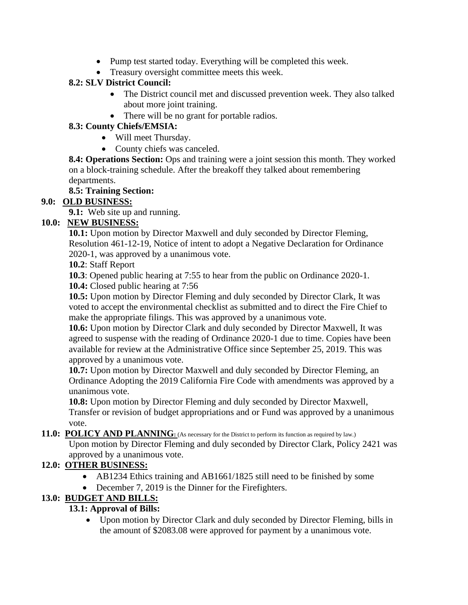- Pump test started today. Everything will be completed this week.
- Treasury oversight committee meets this week.

#### **8.2: SLV District Council:**

- The District council met and discussed prevention week. They also talked about more joint training.
- There will be no grant for portable radios.

#### **8.3: County Chiefs/EMSIA:**

- Will meet Thursday.
- County chiefs was canceled.

**8.4: Operations Section:** Ops and training were a joint session this month. They worked on a block-training schedule. After the breakoff they talked about remembering departments.

## **8.5: Training Section:**

## **9.0: OLD BUSINESS:**

**9.1:** Web site up and running.

#### **10.0: NEW BUSINESS:**

**10.1:** Upon motion by Director Maxwell and duly seconded by Director Fleming, Resolution 461-12-19, Notice of intent to adopt a Negative Declaration for Ordinance 2020-1, was approved by a unanimous vote.

**10.2**: Staff Report

**10.3**: Opened public hearing at 7:55 to hear from the public on Ordinance 2020-1.

**10.4:** Closed public hearing at 7:56

**10.5:** Upon motion by Director Fleming and duly seconded by Director Clark, It was voted to accept the environmental checklist as submitted and to direct the Fire Chief to make the appropriate filings. This was approved by a unanimous vote.

**10.6:** Upon motion by Director Clark and duly seconded by Director Maxwell, It was agreed to suspense with the reading of Ordinance 2020-1 due to time. Copies have been available for review at the Administrative Office since September 25, 2019. This was approved by a unanimous vote.

**10.7:** Upon motion by Director Maxwell and duly seconded by Director Fleming, an Ordinance Adopting the 2019 California Fire Code with amendments was approved by a unanimous vote.

**10.8:** Upon motion by Director Fleming and duly seconded by Director Maxwell, Transfer or revision of budget appropriations and or Fund was approved by a unanimous vote.

#### **11.0: POLICY AND PLANNING**: (As necessary for the District to perform its function as required by law.)

Upon motion by Director Fleming and duly seconded by Director Clark, Policy 2421 was approved by a unanimous vote.

## **12.0: OTHER BUSINESS:**

- AB1234 Ethics training and AB1661/1825 still need to be finished by some
- December 7, 2019 is the Dinner for the Firefighters.

## **13.0: BUDGET AND BILLS:**

## **13.1: Approval of Bills:**

• Upon motion by Director Clark and duly seconded by Director Fleming, bills in the amount of \$2083.08 were approved for payment by a unanimous vote.